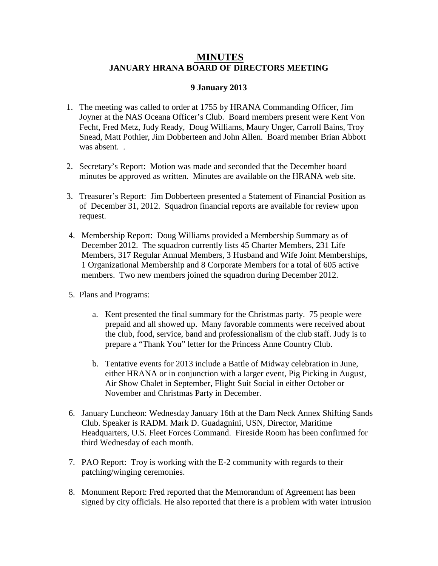## **JANUARY HRANA BOARD OF DIRECTORS MEETING MINUTES**

## **9 January 2013**

- 1. The meeting was called to order at 1755 by HRANA Commanding Officer, Jim Joyner at the NAS Oceana Officer's Club. Board members present were Kent Von Fecht, Fred Metz, Judy Ready, Doug Williams, Maury Unger, Carroll Bains, Troy Snead, Matt Pothier, Jim Dobberteen and John Allen. Board member Brian Abbott was absent...
- 2. Secretary's Report: Motion was made and seconded that the December board minutes be approved as written. Minutes are available on the HRANA web site.
- 3. Treasurer's Report: Jim Dobberteen presented a Statement of Financial Position as of December 31, 2012. Squadron financial reports are available for review upon request.
- 4. Membership Report: Doug Williams provided a Membership Summary as of December 2012. The squadron currently lists 45 Charter Members, 231 Life Members, 317 Regular Annual Members, 3 Husband and Wife Joint Memberships, 1 Organizational Membership and 8 Corporate Members for a total of 605 active members. Two new members joined the squadron during December 2012.
- 5. Plans and Programs:
	- a. Kent presented the final summary for the Christmas party. 75 people were prepaid and all showed up. Many favorable comments were received about the club, food, service, band and professionalism of the club staff. Judy is to prepare a "Thank You" letter for the Princess Anne Country Club.
	- b. Tentative events for 2013 include a Battle of Midway celebration in June, either HRANA or in conjunction with a larger event, Pig Picking in August, Air Show Chalet in September, Flight Suit Social in either October or November and Christmas Party in December.
- 6. January Luncheon: Wednesday January 16th at the Dam Neck Annex Shifting Sands Club. Speaker is RADM. Mark D. Guadagnini, USN, Director, Maritime Headquarters, U.S. Fleet Forces Command. Fireside Room has been confirmed for third Wednesday of each month.
- 7. PAO Report: Troy is working with the E-2 community with regards to their patching/winging ceremonies.
- 8. Monument Report: Fred reported that the Memorandum of Agreement has been signed by city officials. He also reported that there is a problem with water intrusion